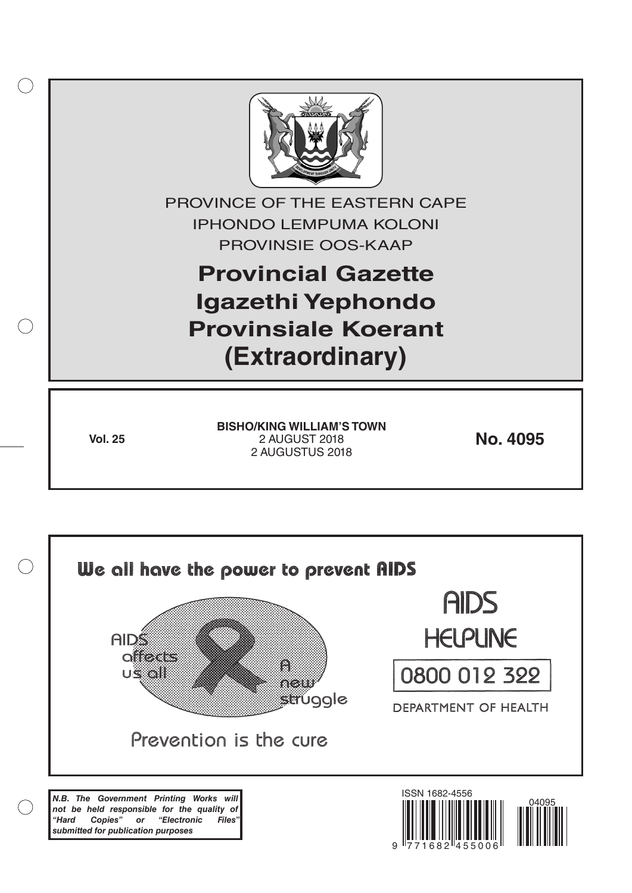

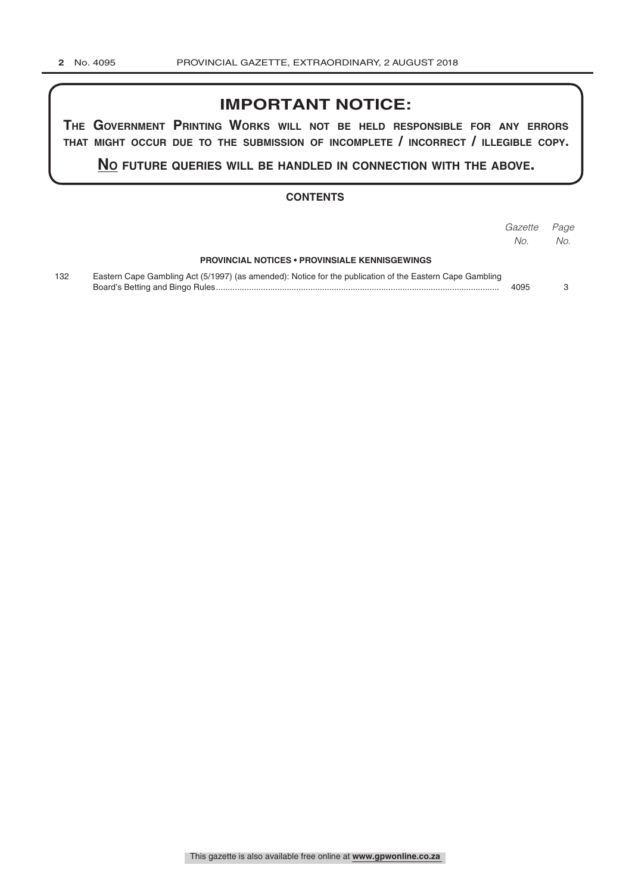## **IMPORTANT NOTICE:**

**The GovernmenT PrinTinG Works Will noT be held resPonsible for any errors ThaT miGhT occur due To The submission of incomPleTe / incorrecT / illeGible coPy.**

**no fuTure queries Will be handled in connecTion WiTh The above.**

## **CONTENTS**

|     |                                                                                                          | Gazette | Page |
|-----|----------------------------------------------------------------------------------------------------------|---------|------|
|     |                                                                                                          | No.     | No.  |
|     | <b>PROVINCIAL NOTICES • PROVINSIALE KENNISGEWINGS</b>                                                    |         |      |
| 132 | Eastern Cape Gambling Act (5/1997) (as amended): Notice for the publication of the Eastern Cape Gambling | 4095    |      |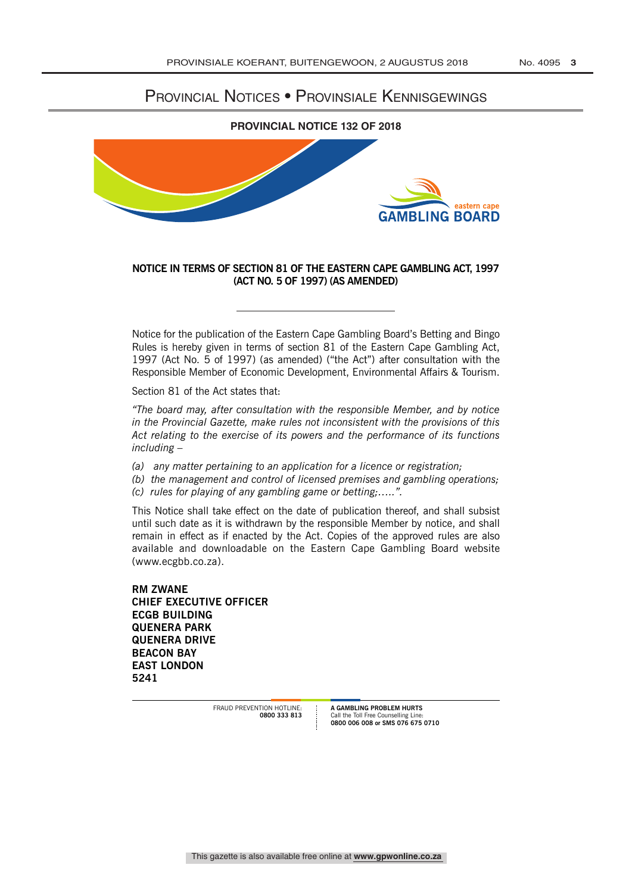## Provincial Notices • Provinsiale Kennisgewings



## **NOTICE IN TERMS OF SECTION 81 OF THE EASTERN CAPE GAMBLING ACT, 1997 (ACT NO. 5 OF 1997) (AS AMENDED)**

Notice for the publication of the Eastern Cape Gambling Board's Betting and Bingo Rules is hereby given in terms of section 81 of the Eastern Cape Gambling Act, 1997 (Act No. 5 of 1997) (as amended) ("the Act") after consultation with the Responsible Member of Economic Development, Environmental Affairs & Tourism.

Section 81 of the Act states that:

*"The board may, after consultation with the responsible Member, and by notice in the Provincial Gazette, make rules not inconsistent with the provisions of this Act relating to the exercise of its powers and the performance of its functions including –* 

- *(a) any matter pertaining to an application for a licence or registration;*
- *(b) the management and control of licensed premises and gambling operations;*
- *(c) rules for playing of any gambling game or betting;…..".*

This Notice shall take effect on the date of publication thereof, and shall subsist until such date as it is withdrawn by the responsible Member by notice, and shall remain in effect as if enacted by the Act. Copies of the approved rules are also available and downloadable on the Eastern Cape Gambling Board website (www.ecgbb.co.za).

**RM ZwANE CHIEF ExECUTIvE OFFICER ECGB BUILDING QUENERA PARk QUENERA DRIvE BEACON BAy EAST LONDON 5241**

> FRAUD PREVENTION HOTLINE **0800 333 813**

**A GAMBLING PROBLEM HURTS** Call the Toll Free Counselling Line: **0800 006 008 or SMS 076 675 0710**